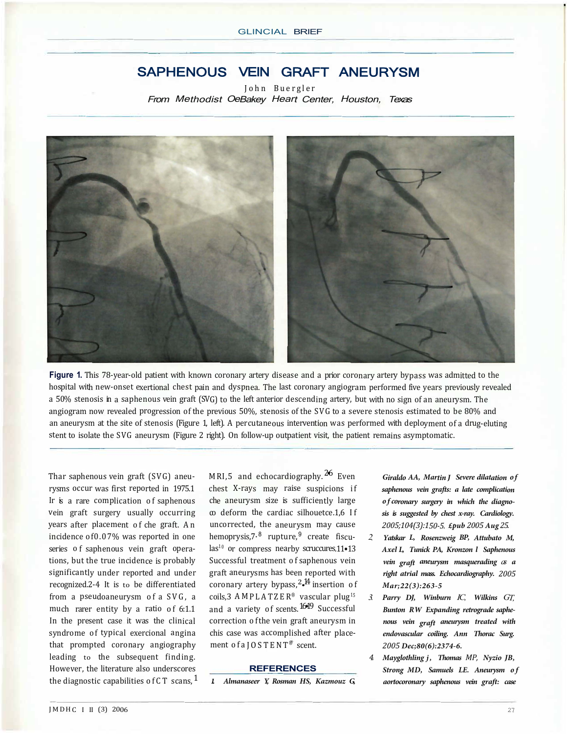## SAPHENOUS VEIN GRAFT ANEURYSM

John Buergler From Methodist OeBakey Heart Center, Houston, Texas



**Figure 1.** This 78-year-old patient with known coronary artery disease and a prior coronary artery bypass was admitted to the hospital with new-onset exertional chest pain and dyspnea. The last coronary angiogram performed five years previously revealed a 50% stenosis in a saphenous vein graft (SVG) to the left anterior descending artery, but with no sign of an aneurysm. The angiogram now revealed progression of the previous 50%, stenosis of the SVG to a severe stenosis estimated to be 80% and an aneurysm at the site of stenosis (Figure 1, left). A percutaneous intervention was performed with deployment of a drug-eluting stent to isolate the SVG aneurysm (Figure 2 right). On follow-up outpatient visit, the patient remains asymptomatic.

Thar saphenous vein graft (SVG) aneurysms occur was first reported in 1975.1 Ir is a rare complication of saphenous vein graft surgery usually occurring years after placement of che graft. An incidence of0.07% was reported in one series of saphenous vein graft operations, but the true incidence is probably significantly under reported and under recognized.2-4 It is to be differentiated from a pseudoaneurysm of a SVG, a much rarer entity by a ratio of 6:1.1 In the present case it was the clinical syndrome of typical exercional angina that prompted coronary angiography leading to the subsequent finding. However, the literature also underscores the diagnostic capabilities of CT scans,  $<sup>1</sup>$ </sup> MRI.5 and echocardiography.  $26$  Even chest X-rays may raise suspicions if che aneurysm size is sufficiently large  $\infty$  deform the cardiac silhouetce.1,6 If uncorrected, the aneurysm may cause hemoprysis,  $7.8$  rupture,  $9$  create fiscu $las<sup>10</sup>$  or compress nearby scruccures.11•13 Successful treatment of saphenous vein graft aneurysms has been reported with coronary artery bypass, $^{2.14}$  insertion of coils,3 AMPLATZER® vascular plug<sup>15</sup> and a variety of scents. 1619 Successful correction of the vein graft aneurysm in chis case was accomplished after placement of a  $IO$  STENT<sup>®</sup> scent.

## **REFERENCES**

*1. Almanaseer Y, Rosman HS, Kazmouz G,* 

*Giraldo AA, Martin J Severe dilatation of saphenous vein grafts: a late complication of coronary surgery in which the diagnosis is suggested by chest x-ray. Cardiology. 2005;104(3):150-5. £pub 2005 Aug 25.* 

- *2. Yatskar L, Rosenzweig BP, Attubato M, Axel L, Tunick PA, Kronzon l Saphenous vein graft aneurysm masquerading as <sup>a</sup> right atrial mass. Echocardiography. 2005 Mar;22(3):263-5*
- *3. Parry DJ, Winburn IC, Wilkins GT, Bunton RW Expanding retrograde saphenous vein graft aneurysm treated with endovascular coiling. Ann Thorac Surg. 2005 Dec;80(6):2374-6.*
- *4. Mayglothling j, Thomas MP, Nyzio JB, Strong MD, Samuels LE. Aneurysm of aortocoronary saphenous vein graft: case*